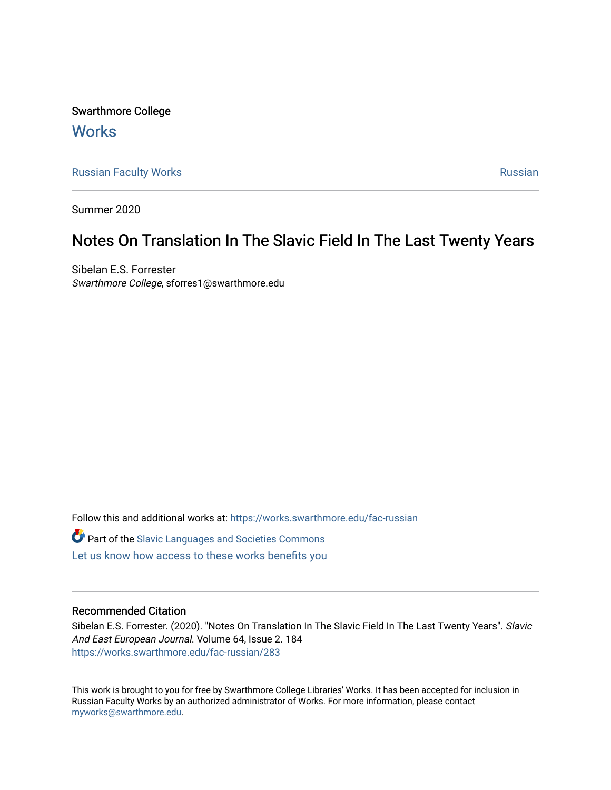Swarthmore College **Works** 

[Russian Faculty Works](https://works.swarthmore.edu/fac-russian) **Russian** [Russian](https://works.swarthmore.edu/russian) Russian Russian

Summer 2020

## Notes On Translation In The Slavic Field In The Last Twenty Years

Sibelan E.S. Forrester Swarthmore College, sforres1@swarthmore.edu

Follow this and additional works at: [https://works.swarthmore.edu/fac-russian](https://works.swarthmore.edu/fac-russian?utm_source=works.swarthmore.edu%2Ffac-russian%2F283&utm_medium=PDF&utm_campaign=PDFCoverPages)  **C** Part of the Slavic Languages and Societies Commons [Let us know how access to these works benefits you](https://forms.gle/4MB8mE2GywC5965J8) 

## Recommended Citation

Sibelan E.S. Forrester. (2020). "Notes On Translation In The Slavic Field In The Last Twenty Years". Slavic And East European Journal. Volume 64, Issue 2. 184 <https://works.swarthmore.edu/fac-russian/283>

This work is brought to you for free by Swarthmore College Libraries' Works. It has been accepted for inclusion in Russian Faculty Works by an authorized administrator of Works. For more information, please contact [myworks@swarthmore.edu.](mailto:myworks@swarthmore.edu)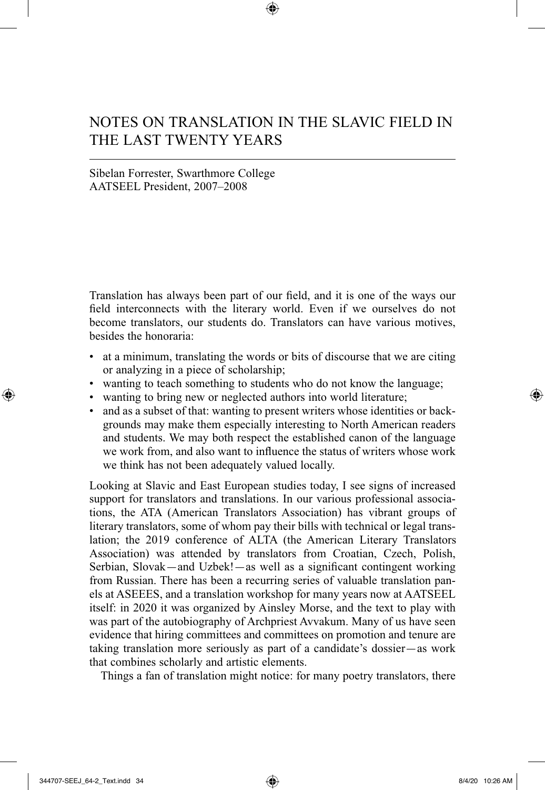## NOTES ON TRANSLATION IN THE SLAVIC FIELD IN THE LAST TWENTY YEARS

## Sibelan Forrester, Swarthmore College AATSEEL President, 2007–2008

Translation has always been part of our field, and it is one of the ways our field interconnects with the literary world. Even if we ourselves do not become translators, our students do. Translators can have various motives, besides the honoraria:

- at a minimum, translating the words or bits of discourse that we are citing or analyzing in a piece of scholarship;
- wanting to teach something to students who do not know the language;
- wanting to bring new or neglected authors into world literature;
- and as a subset of that: wanting to present writers whose identities or backgrounds may make them especially interesting to North American readers and students. We may both respect the established canon of the language we work from, and also want to influence the status of writers whose work we think has not been adequately valued locally.

Looking at Slavic and East European studies today, I see signs of increased support for translators and translations. In our various professional associations, the ATA (American Translators Association) has vibrant groups of literary translators, some of whom pay their bills with technical or legal translation; the 2019 conference of ALTA (the American Literary Translators Association) was attended by translators from Croatian, Czech, Polish, Serbian, Slovak—and Uzbek!—as well as a significant contingent working from Russian. There has been a recurring series of valuable translation panels at ASEEES, and a translation workshop for many years now at AATSEEL itself: in 2020 it was organized by Ainsley Morse, and the text to play with was part of the autobiography of Archpriest Avvakum. Many of us have seen evidence that hiring committees and committees on promotion and tenure are taking translation more seriously as part of a candidate's dossier—as work that combines scholarly and artistic elements.

Things a fan of translation might notice: for many poetry translators, there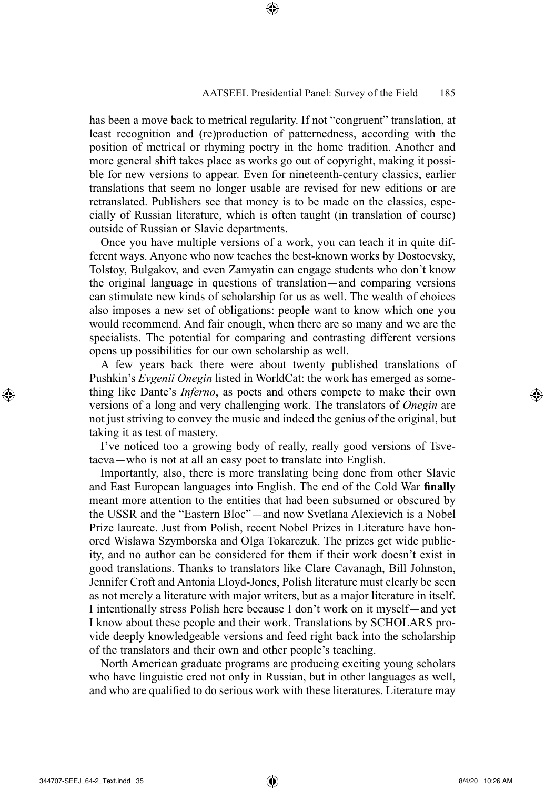has been a move back to metrical regularity. If not "congruent" translation, at least recognition and (re)production of patternedness, according with the position of metrical or rhyming poetry in the home tradition. Another and more general shift takes place as works go out of copyright, making it possible for new versions to appear. Even for nineteenth-century classics, earlier translations that seem no longer usable are revised for new editions or are retranslated. Publishers see that money is to be made on the classics, especially of Russian literature, which is often taught (in translation of course) outside of Russian or Slavic departments.

Once you have multiple versions of a work, you can teach it in quite different ways. Anyone who now teaches the best-known works by Dostoevsky, Tolstoy, Bulgakov, and even Zamyatin can engage students who don't know the original language in questions of translation—and comparing versions can stimulate new kinds of scholarship for us as well. The wealth of choices also imposes a new set of obligations: people want to know which one you would recommend. And fair enough, when there are so many and we are the specialists. The potential for comparing and contrasting different versions opens up possibilities for our own scholarship as well.

A few years back there were about twenty published translations of Pushkin's *Evgenii Onegin* listed in WorldCat: the work has emerged as something like Dante's *Inferno*, as poets and others compete to make their own versions of a long and very challenging work. The translators of *Onegin* are not just striving to convey the music and indeed the genius of the original, but taking it as test of mastery.

I've noticed too a growing body of really, really good versions of Tsvetaeva—who is not at all an easy poet to translate into English.

Importantly, also, there is more translating being done from other Slavic and East European languages into English. The end of the Cold War **finally** meant more attention to the entities that had been subsumed or obscured by the USSR and the "Eastern Bloc"—and now Svetlana Alexievich is a Nobel Prize laureate. Just from Polish, recent Nobel Prizes in Literature have honored Wisława Szymborska and Olga Tokarczuk. The prizes get wide publicity, and no author can be considered for them if their work doesn't exist in good translations. Thanks to translators like Clare Cavanagh, Bill Johnston, Jennifer Croft and Antonia Lloyd-Jones, Polish literature must clearly be seen as not merely a literature with major writers, but as a major literature in itself. I intentionally stress Polish here because I don't work on it myself—and yet I know about these people and their work. Translations by SCHOLARS provide deeply knowledgeable versions and feed right back into the scholarship of the translators and their own and other people's teaching.

North American graduate programs are producing exciting young scholars who have linguistic cred not only in Russian, but in other languages as well, and who are qualified to do serious work with these literatures. Literature may